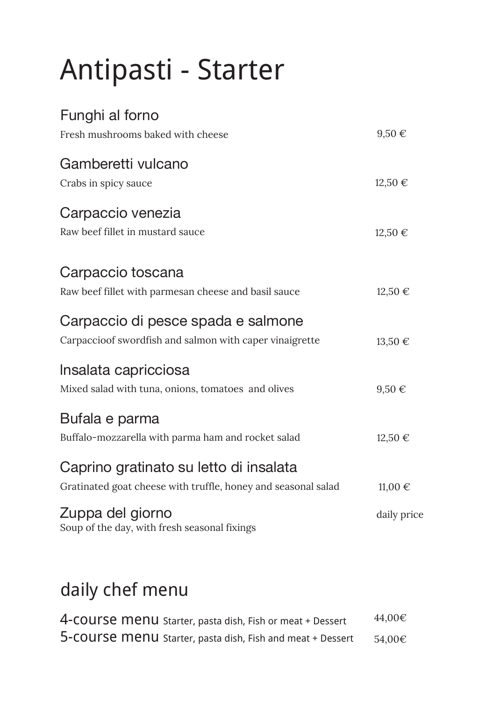# Antipasti - Starter

| Funghi al forno<br>Fresh mushrooms baked with cheese                                                    | $9,50 \in$  |
|---------------------------------------------------------------------------------------------------------|-------------|
| Gamberetti vulcano<br>Crabs in spicy sauce                                                              | $12,50 \in$ |
| Carpaccio venezia<br>Raw beef fillet in mustard sauce                                                   | $12,50 \in$ |
| Carpaccio toscana<br>Raw beef fillet with parmesan cheese and basil sauce                               | $12,50 \in$ |
| Carpaccio di pesce spada e salmone<br>Carpaccioof swordfish and salmon with caper vinaigrette           | $13,50 \in$ |
| Insalata capricciosa<br>Mixed salad with tuna, onions, tomatoes and olives                              | $9,50 \in$  |
| Bufala e parma<br>Buffalo-mozzarella with parma ham and rocket salad                                    | $12,50 \in$ |
| Caprino gratinato su letto di insalata<br>Gratinated goat cheese with truffle, honey and seasonal salad | 11,00 €     |
| Zuppa del giorno<br>Soup of the day, with fresh seasonal fixings                                        | daily price |
|                                                                                                         |             |

## daily chef menu

| 4-COUISE MENU Starter, pasta dish, Fish or meat + Dessert  | 44,00€ |
|------------------------------------------------------------|--------|
| 5-COUISE MENU Starter, pasta dish, Fish and meat + Dessert | 54,00€ |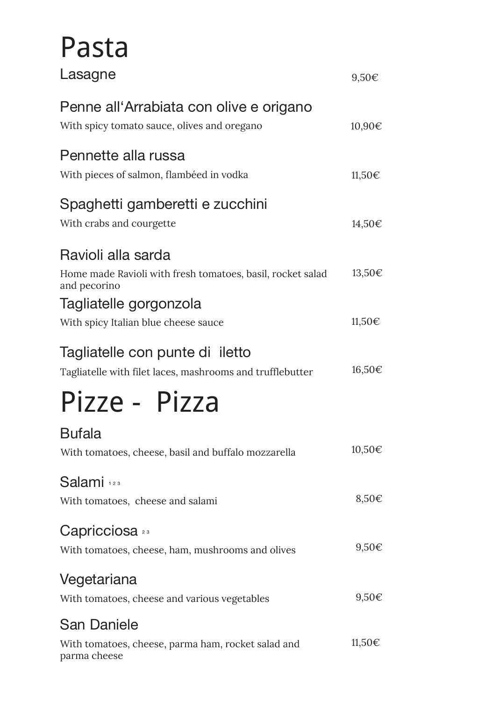#### Pasta Lasagne Penne all'Arrabiata con olive e origano With spicy tomato sauce, olives and oregano Pennette alla russa With pieces of salmon, flambéed in vodka Spaghetti gamberetti e zucchini With crabs and courgette Ravioli alla sarda Home made Ravioli with fresh tomatoes, basil, rocket salad and pecorino Tagliatelle gorgonzola With spicy Italian blue cheese sauce Tagliatelle con punte di iletto Tagliatelle with filet laces, mashrooms and trufflebutter Pizze - Pizza Bufala With tomatoes, cheese, basil and buffalo mozzarella Salami 123 With tomatoes, cheese and salami Capricciosa 23 With tomatoes, cheese, ham, mushrooms and olives Vegetariana With tomatoes, cheese and various vegetables San Daniele With tomatoes, cheese, parma ham, rocket salad and parma cheese 9,50€ 10,90€ 11,50€ 14,50€ 13,50€ 11,50€ 16,50€ 10,50€ 8,50€ 9,50€ 9,50€ 11,50€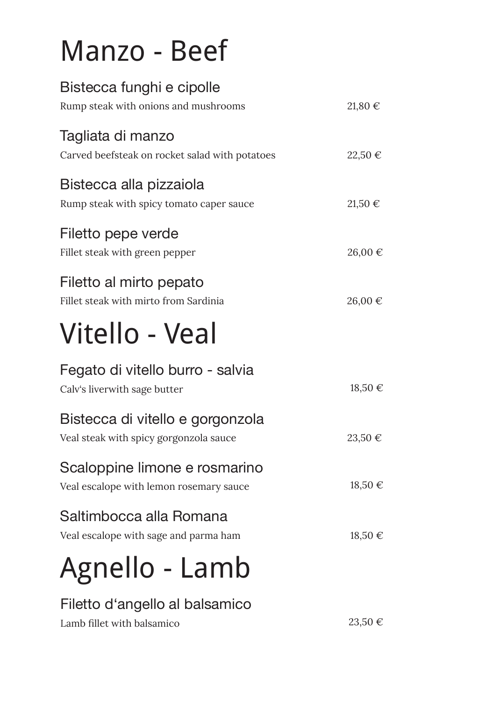# Manzo - Beef

| Bistecca funghi e cipolle<br>Rump steak with onions and mushrooms          | 21,80€      |
|----------------------------------------------------------------------------|-------------|
| Tagliata di manzo<br>Carved beefsteak on rocket salad with potatoes        | $22,50 \in$ |
| Bistecca alla pizzaiola<br>Rump steak with spicy tomato caper sauce        | $21,50 \in$ |
| Filetto pepe verde<br>Fillet steak with green pepper                       | 26,00 €     |
| Filetto al mirto pepato<br>Fillet steak with mirto from Sardinia           | $26,00 \in$ |
| Vitello - Veal                                                             |             |
| Fegato di vitello burro - salvia<br>Calv's liverwith sage butter           | 18,50 €     |
| Bistecca di vitello e gorgonzola<br>Veal steak with spicy gorgonzola sauce | $23,50 \in$ |
| Scaloppine limone e rosmarino<br>Veal escalope with lemon rosemary sauce   | 18,50 €     |
| Saltimbocca alla Romana<br>Veal escalope with sage and parma ham           | 18,50 €     |
| Agnello - Lamb                                                             |             |
| Filetto d'angello al balsamico<br>Lamb fillet with balsamico               | $23,50 \in$ |